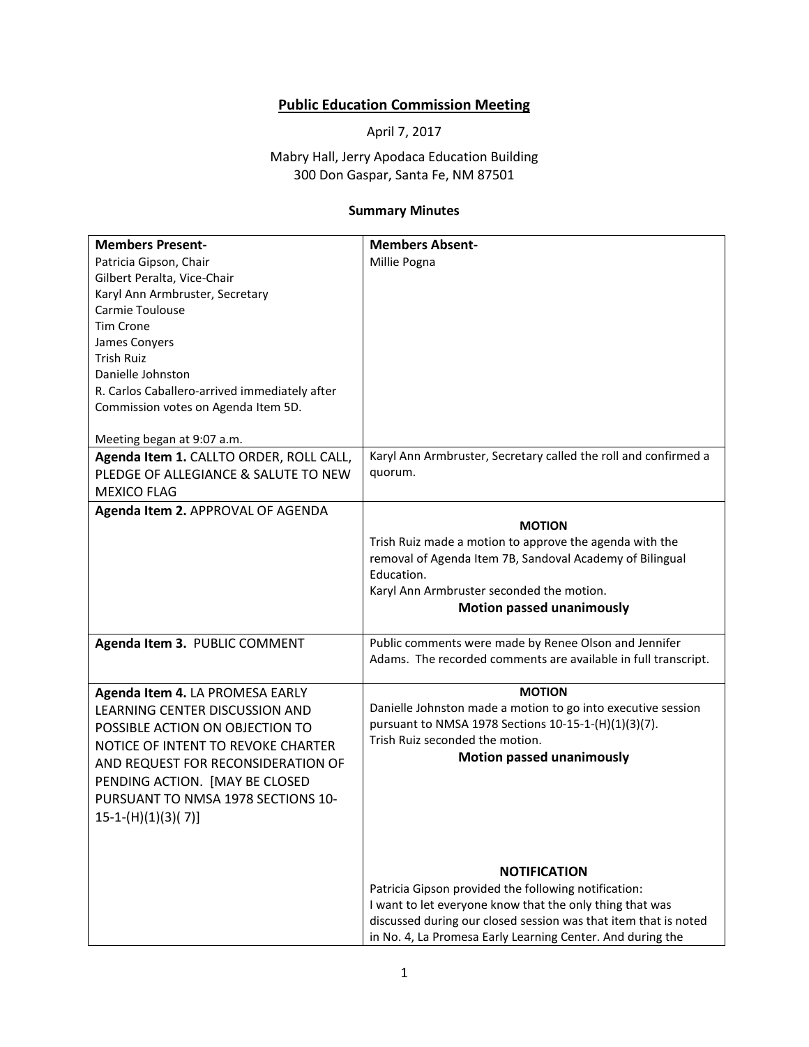## **Public Education Commission Meeting**

April 7, 2017

Mabry Hall, Jerry Apodaca Education Building 300 Don Gaspar, Santa Fe, NM 87501

## **Summary Minutes**

| <b>Members Present-</b>                       | <b>Members Absent-</b>                                          |
|-----------------------------------------------|-----------------------------------------------------------------|
| Patricia Gipson, Chair                        | Millie Pogna                                                    |
| Gilbert Peralta, Vice-Chair                   |                                                                 |
| Karyl Ann Armbruster, Secretary               |                                                                 |
| Carmie Toulouse                               |                                                                 |
| <b>Tim Crone</b>                              |                                                                 |
| James Conyers                                 |                                                                 |
| <b>Trish Ruiz</b>                             |                                                                 |
| Danielle Johnston                             |                                                                 |
| R. Carlos Caballero-arrived immediately after |                                                                 |
| Commission votes on Agenda Item 5D.           |                                                                 |
|                                               |                                                                 |
| Meeting began at 9:07 a.m.                    |                                                                 |
| Agenda Item 1. CALLTO ORDER, ROLL CALL,       | Karyl Ann Armbruster, Secretary called the roll and confirmed a |
| PLEDGE OF ALLEGIANCE & SALUTE TO NEW          | quorum.                                                         |
| <b>MEXICO FLAG</b>                            |                                                                 |
| Agenda Item 2. APPROVAL OF AGENDA             |                                                                 |
|                                               | <b>MOTION</b>                                                   |
|                                               | Trish Ruiz made a motion to approve the agenda with the         |
|                                               | removal of Agenda Item 7B, Sandoval Academy of Bilingual        |
|                                               | Education.                                                      |
|                                               | Karyl Ann Armbruster seconded the motion.                       |
|                                               | <b>Motion passed unanimously</b>                                |
| Agenda Item 3. PUBLIC COMMENT                 | Public comments were made by Renee Olson and Jennifer           |
|                                               | Adams. The recorded comments are available in full transcript.  |
|                                               |                                                                 |
| Agenda Item 4. LA PROMESA EARLY               | <b>MOTION</b>                                                   |
| LEARNING CENTER DISCUSSION AND                | Danielle Johnston made a motion to go into executive session    |
| POSSIBLE ACTION ON OBJECTION TO               | pursuant to NMSA 1978 Sections 10-15-1-(H)(1)(3)(7).            |
| NOTICE OF INTENT TO REVOKE CHARTER            | Trish Ruiz seconded the motion.                                 |
| AND REQUEST FOR RECONSIDERATION OF            | <b>Motion passed unanimously</b>                                |
|                                               |                                                                 |
| PENDING ACTION. [MAY BE CLOSED                |                                                                 |
| PURSUANT TO NMSA 1978 SECTIONS 10-            |                                                                 |
| $15-1-(H)(1)(3)(7)]$                          |                                                                 |
|                                               |                                                                 |
|                                               |                                                                 |
|                                               | <b>NOTIFICATION</b>                                             |
|                                               | Patricia Gipson provided the following notification:            |
|                                               | I want to let everyone know that the only thing that was        |
|                                               | discussed during our closed session was that item that is noted |
|                                               | in No. 4, La Promesa Early Learning Center. And during the      |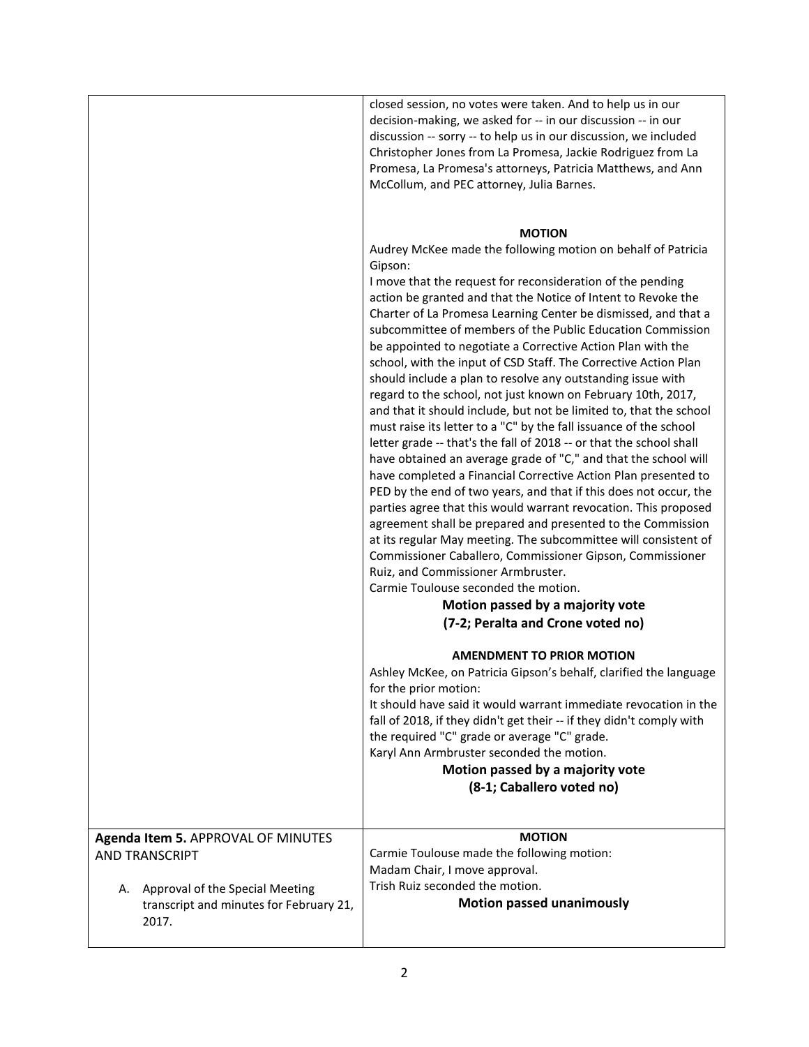|    |                                                                                                                                                    | closed session, no votes were taken. And to help us in our<br>decision-making, we asked for -- in our discussion -- in our<br>discussion -- sorry -- to help us in our discussion, we included<br>Christopher Jones from La Promesa, Jackie Rodriguez from La<br>Promesa, La Promesa's attorneys, Patricia Matthews, and Ann<br>McCollum, and PEC attorney, Julia Barnes.                                                                                                                                                                                                                                                                                                                                                                                                                                                                                                                                                                                                                                                                                                                                                                                                                                                                                                                                                                                                                                                                                                     |
|----|----------------------------------------------------------------------------------------------------------------------------------------------------|-------------------------------------------------------------------------------------------------------------------------------------------------------------------------------------------------------------------------------------------------------------------------------------------------------------------------------------------------------------------------------------------------------------------------------------------------------------------------------------------------------------------------------------------------------------------------------------------------------------------------------------------------------------------------------------------------------------------------------------------------------------------------------------------------------------------------------------------------------------------------------------------------------------------------------------------------------------------------------------------------------------------------------------------------------------------------------------------------------------------------------------------------------------------------------------------------------------------------------------------------------------------------------------------------------------------------------------------------------------------------------------------------------------------------------------------------------------------------------|
|    |                                                                                                                                                    | <b>MOTION</b><br>Audrey McKee made the following motion on behalf of Patricia<br>Gipson:<br>I move that the request for reconsideration of the pending<br>action be granted and that the Notice of Intent to Revoke the<br>Charter of La Promesa Learning Center be dismissed, and that a<br>subcommittee of members of the Public Education Commission<br>be appointed to negotiate a Corrective Action Plan with the<br>school, with the input of CSD Staff. The Corrective Action Plan<br>should include a plan to resolve any outstanding issue with<br>regard to the school, not just known on February 10th, 2017,<br>and that it should include, but not be limited to, that the school<br>must raise its letter to a "C" by the fall issuance of the school<br>letter grade -- that's the fall of 2018 -- or that the school shall<br>have obtained an average grade of "C," and that the school will<br>have completed a Financial Corrective Action Plan presented to<br>PED by the end of two years, and that if this does not occur, the<br>parties agree that this would warrant revocation. This proposed<br>agreement shall be prepared and presented to the Commission<br>at its regular May meeting. The subcommittee will consistent of<br>Commissioner Caballero, Commissioner Gipson, Commissioner<br>Ruiz, and Commissioner Armbruster.<br>Carmie Toulouse seconded the motion.<br>Motion passed by a majority vote<br>(7-2; Peralta and Crone voted no) |
|    |                                                                                                                                                    | <b>AMENDMENT TO PRIOR MOTION</b><br>Ashley McKee, on Patricia Gipson's behalf, clarified the language<br>for the prior motion:<br>It should have said it would warrant immediate revocation in the<br>fall of 2018, if they didn't get their -- if they didn't comply with<br>the required "C" grade or average "C" grade.<br>Karyl Ann Armbruster seconded the motion.<br>Motion passed by a majority vote<br>(8-1; Caballero voted no)                                                                                                                                                                                                                                                                                                                                                                                                                                                                                                                                                                                                                                                                                                                                                                                                                                                                                                                                                                                                                                      |
| Α. | Agenda Item 5. APPROVAL OF MINUTES<br><b>AND TRANSCRIPT</b><br>Approval of the Special Meeting<br>transcript and minutes for February 21,<br>2017. | <b>MOTION</b><br>Carmie Toulouse made the following motion:<br>Madam Chair, I move approval.<br>Trish Ruiz seconded the motion.<br><b>Motion passed unanimously</b>                                                                                                                                                                                                                                                                                                                                                                                                                                                                                                                                                                                                                                                                                                                                                                                                                                                                                                                                                                                                                                                                                                                                                                                                                                                                                                           |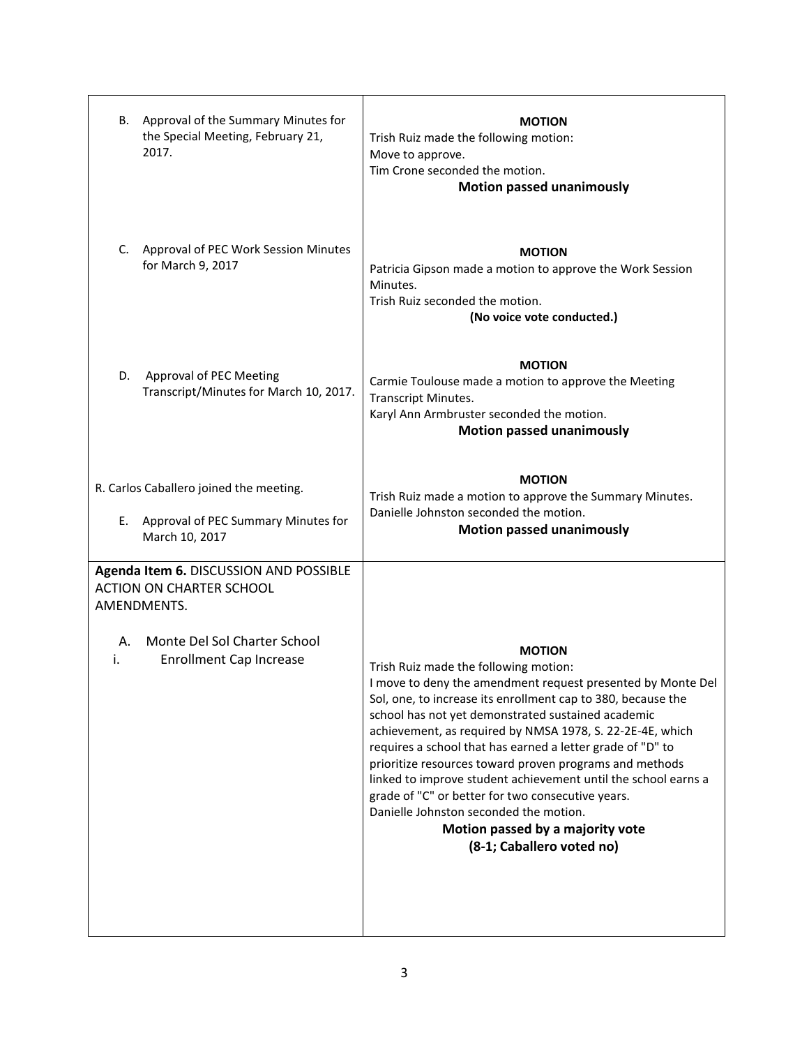| Approval of the Summary Minutes for<br>В.<br>the Special Meeting, February 21,<br>2017.  | <b>MOTION</b><br>Trish Ruiz made the following motion:<br>Move to approve.<br>Tim Crone seconded the motion.<br><b>Motion passed unanimously</b>                                                                                                                                                                                                                                                                                                                                                                                                                                                                                                                    |
|------------------------------------------------------------------------------------------|---------------------------------------------------------------------------------------------------------------------------------------------------------------------------------------------------------------------------------------------------------------------------------------------------------------------------------------------------------------------------------------------------------------------------------------------------------------------------------------------------------------------------------------------------------------------------------------------------------------------------------------------------------------------|
| C.<br>Approval of PEC Work Session Minutes<br>for March 9, 2017                          | <b>MOTION</b><br>Patricia Gipson made a motion to approve the Work Session<br>Minutes.<br>Trish Ruiz seconded the motion.<br>(No voice vote conducted.)                                                                                                                                                                                                                                                                                                                                                                                                                                                                                                             |
| D.<br>Approval of PEC Meeting<br>Transcript/Minutes for March 10, 2017.                  | <b>MOTION</b><br>Carmie Toulouse made a motion to approve the Meeting<br>Transcript Minutes.<br>Karyl Ann Armbruster seconded the motion.<br><b>Motion passed unanimously</b>                                                                                                                                                                                                                                                                                                                                                                                                                                                                                       |
| R. Carlos Caballero joined the meeting.                                                  | <b>MOTION</b>                                                                                                                                                                                                                                                                                                                                                                                                                                                                                                                                                                                                                                                       |
| Approval of PEC Summary Minutes for<br>Е.<br>March 10, 2017                              | Trish Ruiz made a motion to approve the Summary Minutes.<br>Danielle Johnston seconded the motion.<br><b>Motion passed unanimously</b>                                                                                                                                                                                                                                                                                                                                                                                                                                                                                                                              |
| Agenda Item 6. DISCUSSION AND POSSIBLE<br><b>ACTION ON CHARTER SCHOOL</b><br>AMENDMENTS. |                                                                                                                                                                                                                                                                                                                                                                                                                                                                                                                                                                                                                                                                     |
| Monte Del Sol Charter School<br>А.<br>i.<br><b>Enrollment Cap Increase</b>               | <b>MOTION</b><br>Trish Ruiz made the following motion:<br>I move to deny the amendment request presented by Monte Del<br>Sol, one, to increase its enrollment cap to 380, because the<br>school has not yet demonstrated sustained academic<br>achievement, as required by NMSA 1978, S. 22-2E-4E, which<br>requires a school that has earned a letter grade of "D" to<br>prioritize resources toward proven programs and methods<br>linked to improve student achievement until the school earns a<br>grade of "C" or better for two consecutive years.<br>Danielle Johnston seconded the motion.<br>Motion passed by a majority vote<br>(8-1; Caballero voted no) |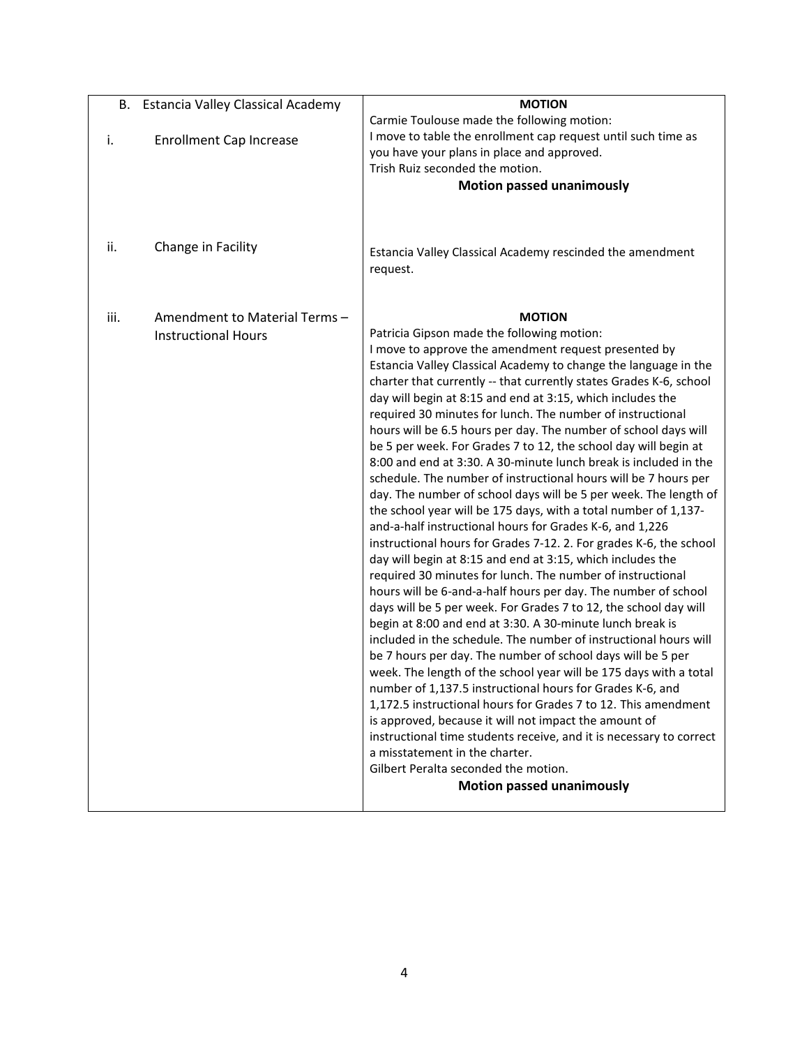| В.   | <b>Estancia Valley Classical Academy</b>                   | <b>MOTION</b>                                                                                                                                                                                                                                                                                                                                                                                                                                                                                                                                                                                                                                                                                                                                                                                                                                                                                                                                                                                                                                                                                                                                                                                                                                                                                                                                                                                                                                                                                                                                                                                                                                                                                                                                                                                                                                                      |
|------|------------------------------------------------------------|--------------------------------------------------------------------------------------------------------------------------------------------------------------------------------------------------------------------------------------------------------------------------------------------------------------------------------------------------------------------------------------------------------------------------------------------------------------------------------------------------------------------------------------------------------------------------------------------------------------------------------------------------------------------------------------------------------------------------------------------------------------------------------------------------------------------------------------------------------------------------------------------------------------------------------------------------------------------------------------------------------------------------------------------------------------------------------------------------------------------------------------------------------------------------------------------------------------------------------------------------------------------------------------------------------------------------------------------------------------------------------------------------------------------------------------------------------------------------------------------------------------------------------------------------------------------------------------------------------------------------------------------------------------------------------------------------------------------------------------------------------------------------------------------------------------------------------------------------------------------|
| i.   | <b>Enrollment Cap Increase</b>                             | Carmie Toulouse made the following motion:<br>I move to table the enrollment cap request until such time as<br>you have your plans in place and approved.<br>Trish Ruiz seconded the motion.<br><b>Motion passed unanimously</b>                                                                                                                                                                                                                                                                                                                                                                                                                                                                                                                                                                                                                                                                                                                                                                                                                                                                                                                                                                                                                                                                                                                                                                                                                                                                                                                                                                                                                                                                                                                                                                                                                                   |
| ii.  | Change in Facility                                         | Estancia Valley Classical Academy rescinded the amendment<br>request.                                                                                                                                                                                                                                                                                                                                                                                                                                                                                                                                                                                                                                                                                                                                                                                                                                                                                                                                                                                                                                                                                                                                                                                                                                                                                                                                                                                                                                                                                                                                                                                                                                                                                                                                                                                              |
| iii. | Amendment to Material Terms-<br><b>Instructional Hours</b> | <b>MOTION</b><br>Patricia Gipson made the following motion:<br>I move to approve the amendment request presented by<br>Estancia Valley Classical Academy to change the language in the<br>charter that currently -- that currently states Grades K-6, school<br>day will begin at 8:15 and end at 3:15, which includes the<br>required 30 minutes for lunch. The number of instructional<br>hours will be 6.5 hours per day. The number of school days will<br>be 5 per week. For Grades 7 to 12, the school day will begin at<br>8:00 and end at 3:30. A 30-minute lunch break is included in the<br>schedule. The number of instructional hours will be 7 hours per<br>day. The number of school days will be 5 per week. The length of<br>the school year will be 175 days, with a total number of 1,137-<br>and-a-half instructional hours for Grades K-6, and 1,226<br>instructional hours for Grades 7-12. 2. For grades K-6, the school<br>day will begin at 8:15 and end at 3:15, which includes the<br>required 30 minutes for lunch. The number of instructional<br>hours will be 6-and-a-half hours per day. The number of school<br>days will be 5 per week. For Grades 7 to 12, the school day will<br>begin at 8:00 and end at 3:30. A 30-minute lunch break is<br>included in the schedule. The number of instructional hours will<br>be 7 hours per day. The number of school days will be 5 per<br>week. The length of the school year will be 175 days with a total<br>number of 1,137.5 instructional hours for Grades K-6, and<br>1,172.5 instructional hours for Grades 7 to 12. This amendment<br>is approved, because it will not impact the amount of<br>instructional time students receive, and it is necessary to correct<br>a misstatement in the charter.<br>Gilbert Peralta seconded the motion.<br><b>Motion passed unanimously</b> |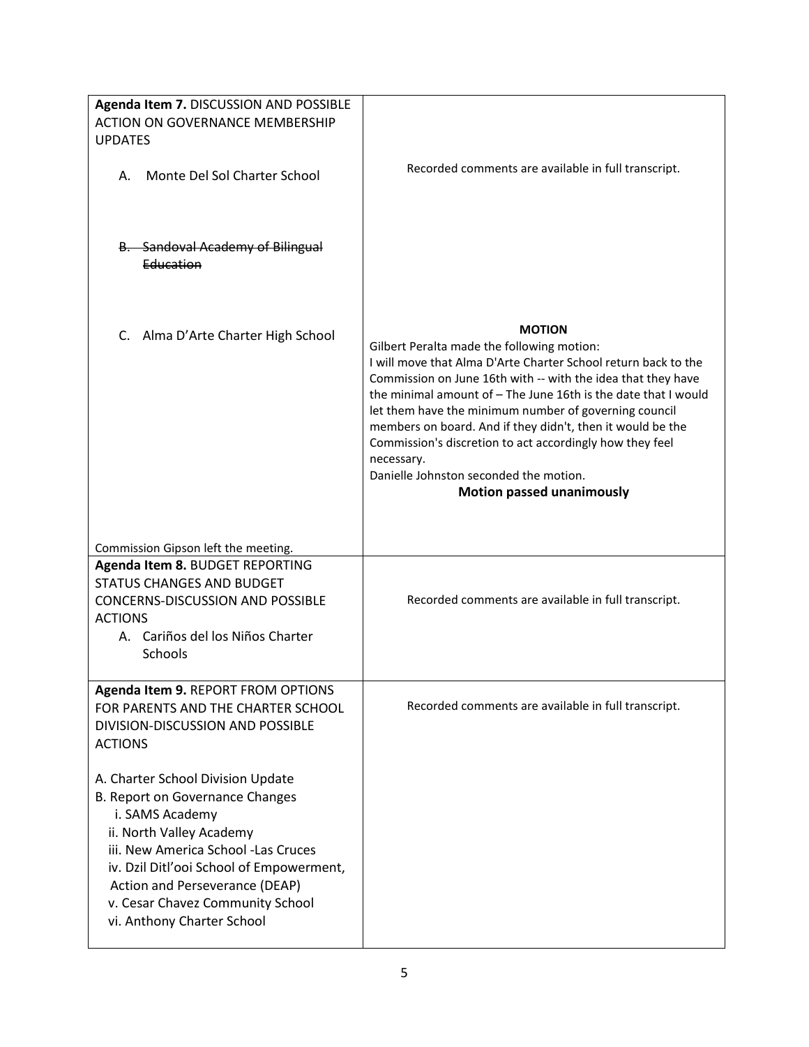| Agenda Item 7. DISCUSSION AND POSSIBLE<br><b>ACTION ON GOVERNANCE MEMBERSHIP</b><br><b>UPDATES</b><br>Monte Del Sol Charter School<br>А.<br><b>B.</b> Sandoval Academy of Bilingual                                                                                                                        | Recorded comments are available in full transcript.                                                                                                                                                                                                                                                                                                                                                                                                                                                                                            |
|------------------------------------------------------------------------------------------------------------------------------------------------------------------------------------------------------------------------------------------------------------------------------------------------------------|------------------------------------------------------------------------------------------------------------------------------------------------------------------------------------------------------------------------------------------------------------------------------------------------------------------------------------------------------------------------------------------------------------------------------------------------------------------------------------------------------------------------------------------------|
| Education                                                                                                                                                                                                                                                                                                  |                                                                                                                                                                                                                                                                                                                                                                                                                                                                                                                                                |
| C. Alma D'Arte Charter High School                                                                                                                                                                                                                                                                         | <b>MOTION</b><br>Gilbert Peralta made the following motion:<br>I will move that Alma D'Arte Charter School return back to the<br>Commission on June 16th with -- with the idea that they have<br>the minimal amount of - The June 16th is the date that I would<br>let them have the minimum number of governing council<br>members on board. And if they didn't, then it would be the<br>Commission's discretion to act accordingly how they feel<br>necessary.<br>Danielle Johnston seconded the motion.<br><b>Motion passed unanimously</b> |
| Commission Gipson left the meeting.                                                                                                                                                                                                                                                                        |                                                                                                                                                                                                                                                                                                                                                                                                                                                                                                                                                |
| Agenda Item 8. BUDGET REPORTING<br><b>STATUS CHANGES AND BUDGET</b><br><b>CONCERNS-DISCUSSION AND POSSIBLE</b><br><b>ACTIONS</b><br>A. Cariños del los Niños Charter<br><b>Schools</b>                                                                                                                     | Recorded comments are available in full transcript.                                                                                                                                                                                                                                                                                                                                                                                                                                                                                            |
| Agenda Item 9. REPORT FROM OPTIONS<br>FOR PARENTS AND THE CHARTER SCHOOL<br>DIVISION-DISCUSSION AND POSSIBLE<br><b>ACTIONS</b>                                                                                                                                                                             | Recorded comments are available in full transcript.                                                                                                                                                                                                                                                                                                                                                                                                                                                                                            |
| A. Charter School Division Update<br>B. Report on Governance Changes<br>i. SAMS Academy<br>ii. North Valley Academy<br>iii. New America School -Las Cruces<br>iv. Dzil Ditl'ooi School of Empowerment,<br>Action and Perseverance (DEAP)<br>v. Cesar Chavez Community School<br>vi. Anthony Charter School |                                                                                                                                                                                                                                                                                                                                                                                                                                                                                                                                                |